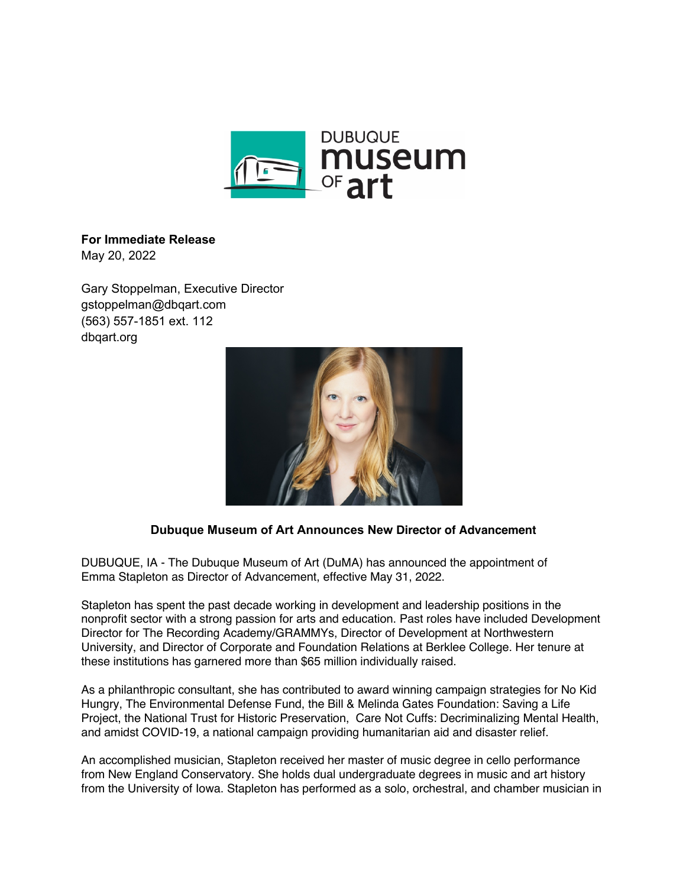

## **For Immediate Release** May 20, 2022

Gary Stoppelman, Executive Director gstoppelman@dbqart.com (563) 557-1851 ext. 112

dbqart.org



## **Dubuque Museum of Art Announces New Director of Advancement**

DUBUQUE, IA - The Dubuque Museum of Art (DuMA) has announced the appointment of Emma Stapleton as Director of Advancement, effective May 31, 2022.

Stapleton has spent the past decade working in development and leadership positions in the nonprofit sector with a strong passion for arts and education. Past roles have included Development Director for The Recording Academy/GRAMMYs, Director of Development at Northwestern University, and Director of Corporate and Foundation Relations at Berklee College. Her tenure at these institutions has garnered more than \$65 million individually raised.

As a philanthropic consultant, she has contributed to award winning campaign strategies for No Kid Hungry, The Environmental Defense Fund, the Bill & Melinda Gates Foundation: Saving a Life Project, the National Trust for Historic Preservation, Care Not Cuffs: Decriminalizing Mental Health, and amidst COVID-19, a national campaign providing humanitarian aid and disaster relief.

An accomplished musician, Stapleton received her master of music degree in cello performance from New England Conservatory. She holds dual undergraduate degrees in music and art history from the University of Iowa. Stapleton has performed as a solo, orchestral, and chamber musician in